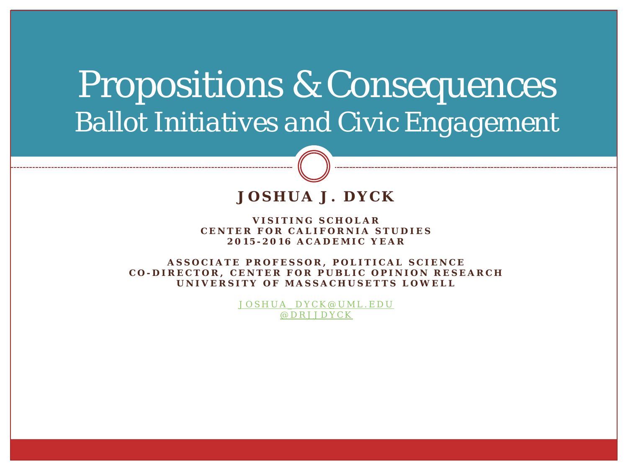# Propositions & Consequences *Ballot Initiatives and Civic Engagement*

#### **JOSHUA J. DYCK**

**VISITING SCHOLAR CENTER FOR CALIFORNIA STUDIES 2015 - 2016 ACADEMIC YEAR**

**ASSOCIATE PROFESSOR, POLITICAL SCIENCE C O - DIRECTOR, CENTER FOR PUBLIC OPINION RESEARCH UNIVERSITY OF MASSACHUSETTS LOWELL**

> [JOSHUA\\_DYCK@UML.EDU](mailto:Joshua_dyck@uml.edu) [@DRJJDYCK](http://www.twitter.com/drjjdyck)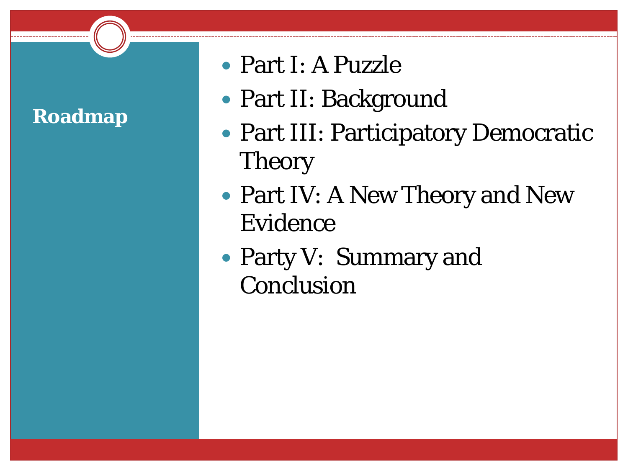# **Roadmap**

- Part I: A Puzzle
- Part II: Background
- Part III: Participatory Democratic Theory
- Part IV: A New Theory and New Evidence
- Party V: Summary and Conclusion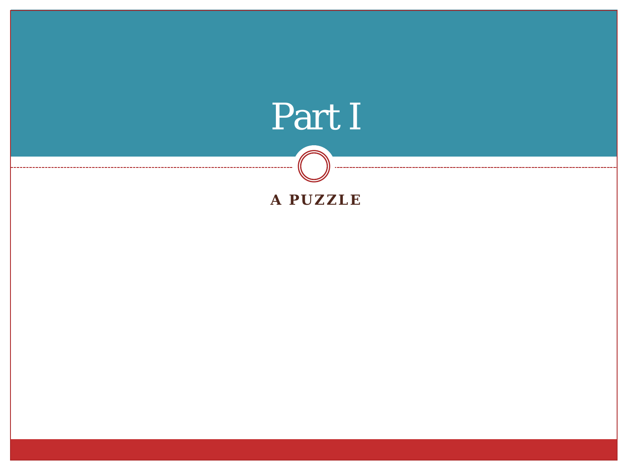# Part I

#### **A PUZZLE**

-------------

-----------------------------

. . . . . . . . .

--------------------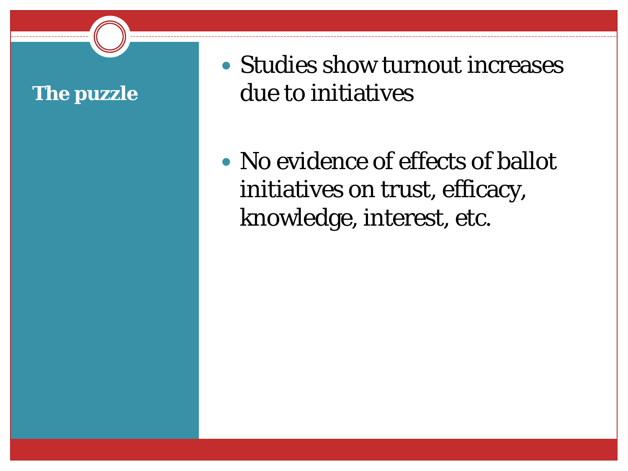### **The puzzle**

• Studies show turnout increases due to initiatives

• No evidence of effects of ballot initiatives on trust, efficacy, knowledge, interest, etc.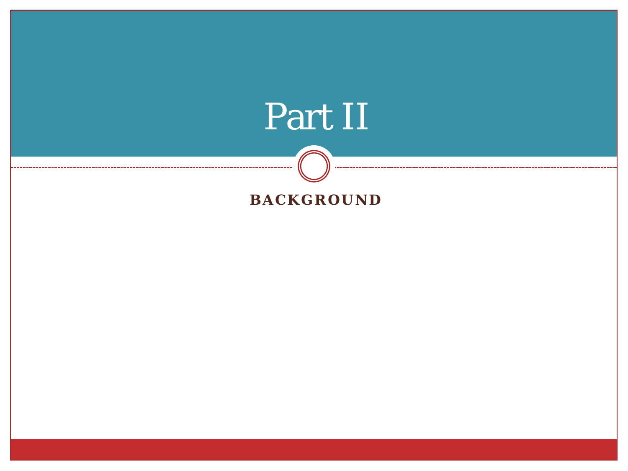# Part II

#### **BACKGROUND**

--------

------

-------------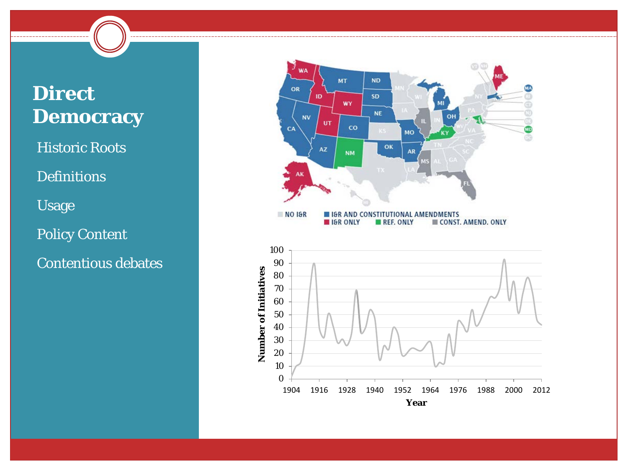## **Direct Democracy**

**Historic Roots** 

**Definitions** 

•Usage

Policy Content

•Contentious debates



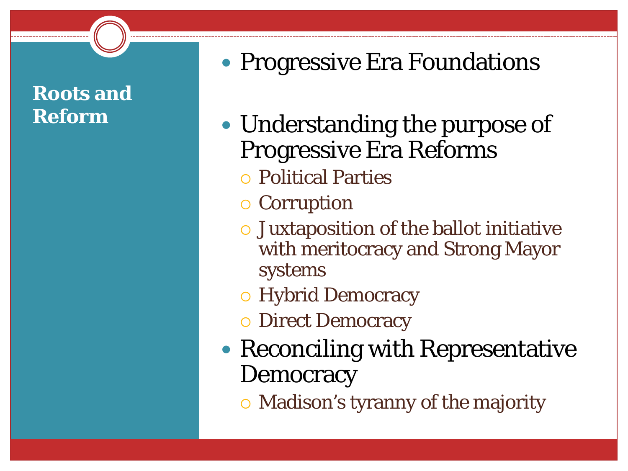## **Roots and Reform**

# • Progressive Era Foundations

- Understanding the purpose of Progressive Era Reforms
	- Political Parties
	- o Corruption
	- Juxtaposition of the ballot initiative with meritocracy and Strong Mayor systems
	- Hybrid Democracy
	- **O** Direct Democracy
- Reconciling with Representative **Democracy**

Madison's tyranny of the majority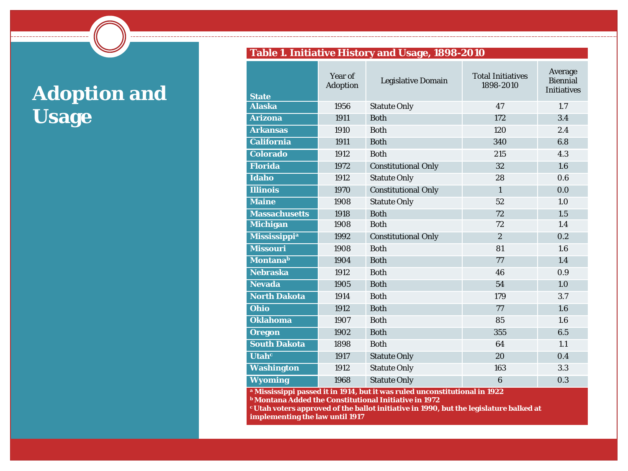# **Adoption and Usage**

--------------------

#### **Table 1. Initiative History and Usage, 1898-2010**

| <b>State</b>                   | Year of<br><b>Adoption</b> | <b>Legislative Domain</b>  | <b>Total Initiatives</b><br>1898-2010 | Average<br><b>Biennial</b><br><b>Initiatives</b> |
|--------------------------------|----------------------------|----------------------------|---------------------------------------|--------------------------------------------------|
| <b>Alaska</b>                  | 1956                       | <b>Statute Only</b>        | 47                                    | 1.7                                              |
| <b>Arizona</b>                 | 1911                       | <b>Both</b>                | 172                                   | 3.4                                              |
| <b>Arkansas</b>                | 1910                       | <b>Both</b>                | 120                                   | 2.4                                              |
| <b>California</b>              | 1911                       | <b>Both</b>                | 340                                   | 6.8                                              |
| <b>Colorado</b>                | 1912                       | <b>Both</b>                | 215                                   | 4.3                                              |
| <b>Florida</b>                 | 1972                       | <b>Constitutional Only</b> | 32                                    | 1.6                                              |
| <b>Idaho</b>                   | 1912                       | <b>Statute Only</b>        | 28                                    | 0.6                                              |
| <b>Illinois</b>                | 1970                       | <b>Constitutional Only</b> | $\mathbf{1}$                          | 0.0                                              |
| <b>Maine</b>                   | 1908                       | <b>Statute Only</b>        | 52                                    | 1.0                                              |
| <b>Massachusetts</b>           | 1918                       | <b>Both</b>                | 72                                    | 1.5                                              |
| <b>Michigan</b>                | 1908                       | <b>Both</b>                | 72                                    | 1.4                                              |
| <b>Mississippi<sup>a</sup></b> | 1992                       | <b>Constitutional Only</b> | $\overline{c}$                        | 0.2                                              |
| <b>Missouri</b>                | 1908                       | <b>Both</b>                | 81                                    | 1.6                                              |
| <b>Montana</b> b               | 1904                       | <b>Both</b>                | 77                                    | 1.4                                              |
| <b>Nebraska</b>                | 1912                       | <b>Both</b>                | 46                                    | 0.9                                              |
| Nevada                         | 1905                       | <b>Both</b>                | 54                                    | 1.0                                              |
| <b>North Dakota</b>            | 1914                       | <b>Both</b>                | 179                                   | 3.7                                              |
| Ohio                           | 1912                       | <b>Both</b>                | 77                                    | 1.6                                              |
| <b>Oklahoma</b>                | 1907                       | <b>Both</b>                | 85                                    | 1.6                                              |
| <b>Oregon</b>                  | 1902                       | <b>Both</b>                | 355                                   | 6.5                                              |
| <b>South Dakota</b>            | 1898                       | <b>Both</b>                | 64                                    | 1.1                                              |
| Utah <sup>c</sup>              | 1917                       | <b>Statute Only</b>        | 20                                    | 0.4                                              |
| <b>Washington</b>              | 1912                       | <b>Statute Only</b>        | 163                                   | 3.3                                              |
| <b>Wyoming</b>                 | 1968                       | <b>Statute Only</b>        | 6                                     | 0.3                                              |

**<sup>a</sup> Mississippi passed it in 1914, but it was ruled unconstitutional in 1922**

**b Montana Added the Constitutional Initiative in 1972**

**c Utah voters approved of the ballot initiative in 1990, but the legislature balked at implementing the law until 1917**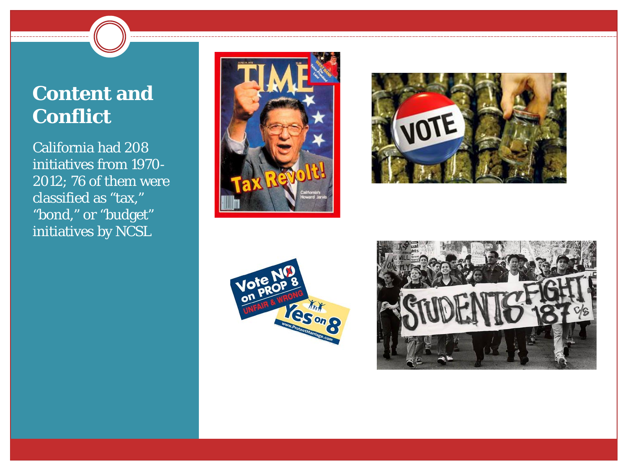### **Content and Conflict**

California had 208 initiatives from 1970- 2012; 76 of them were classified as "tax," "bond," or "budget" initiatives by NCSL







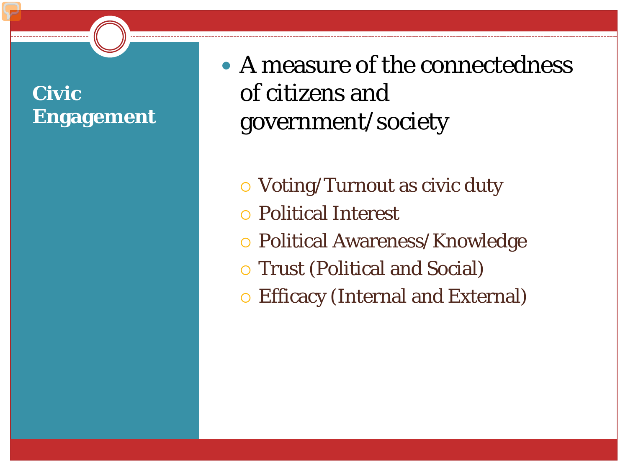## **Civic Engagement**

• A measure of the connectedness of citizens and government/society

Voting/Turnout as civic duty

- Political Interest
- Political Awareness/Knowledge
- Trust (Political and Social)
- Efficacy (Internal and External)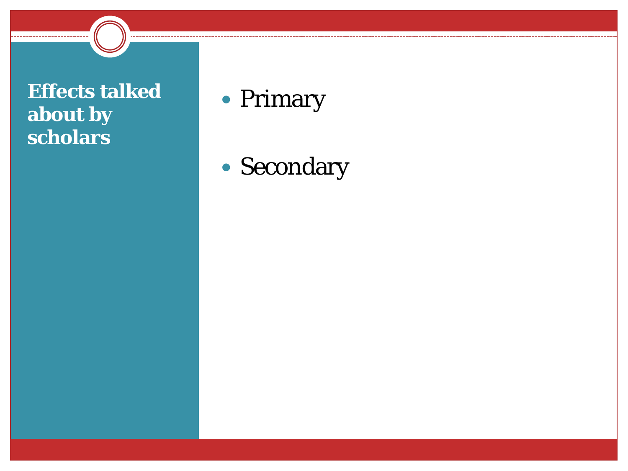### **Effects talked about by scholars**

--------------------

# • Primary

Secondary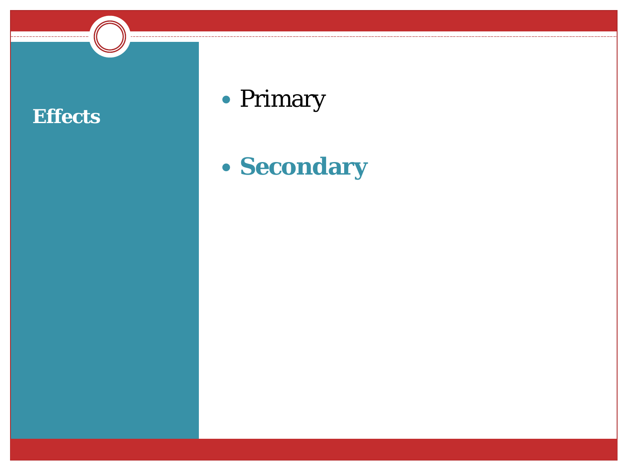

# • Primary

# **Secondary**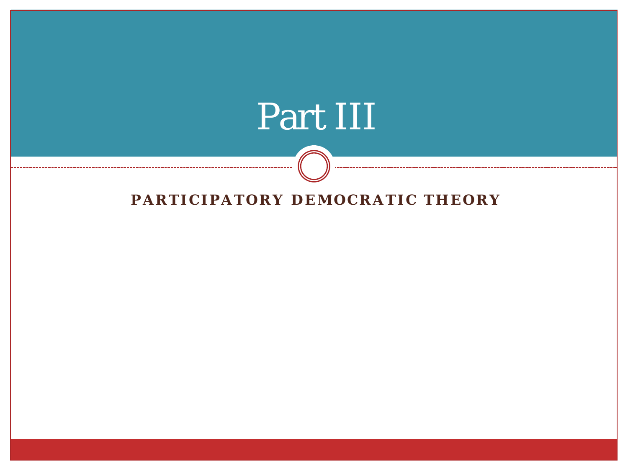# Part III

#### **PARTICIPATORY DEMOCRATIC THEORY**

 $- - -$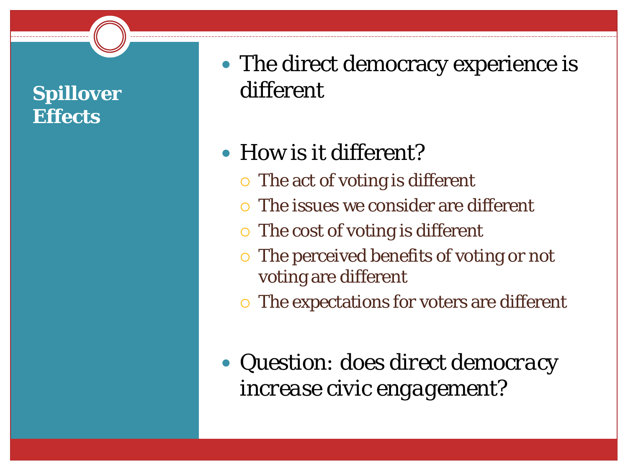## **Spillover Effects**

• The direct democracy experience is different

# How is it different?

- $\circ$  The act of voting is different
- The issues we consider are different
- $\circ$  The cost of voting is different
- The perceived benefits of voting or not voting are different
- The expectations for voters are different
- *Question: does direct democracy increase civic engagement?*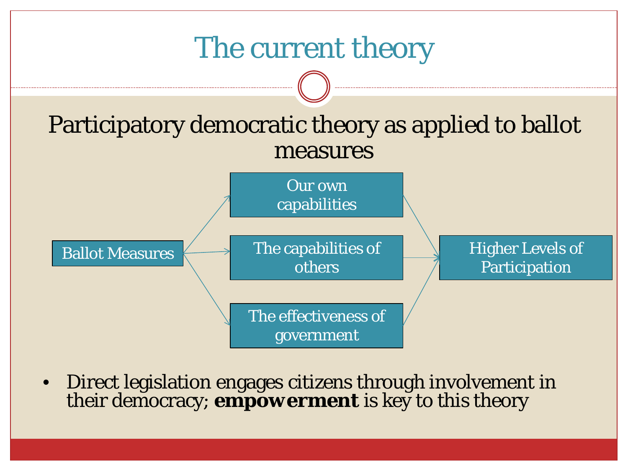

• Direct legislation engages citizens through involvement in their democracy; *empowerment* is key to this theory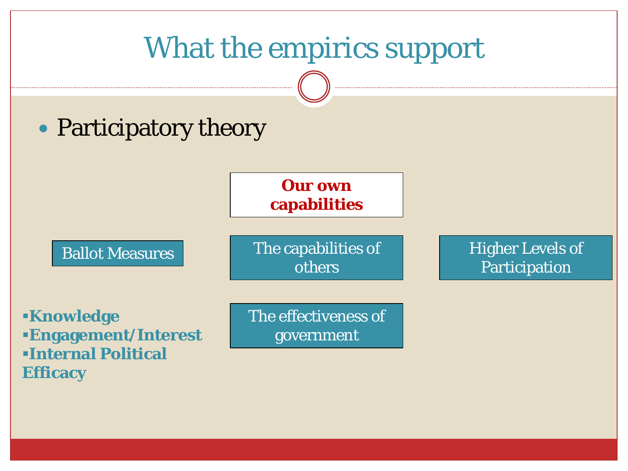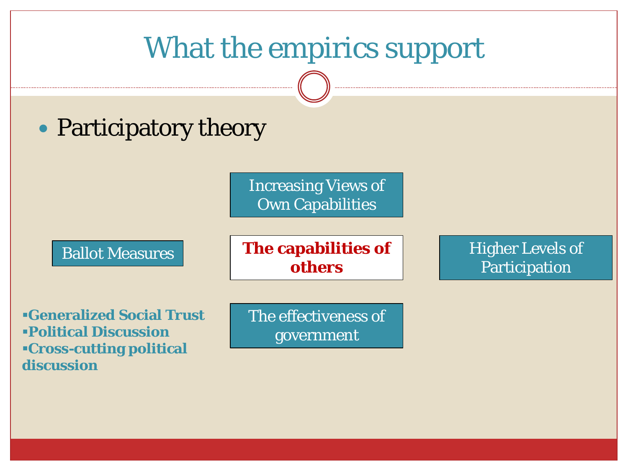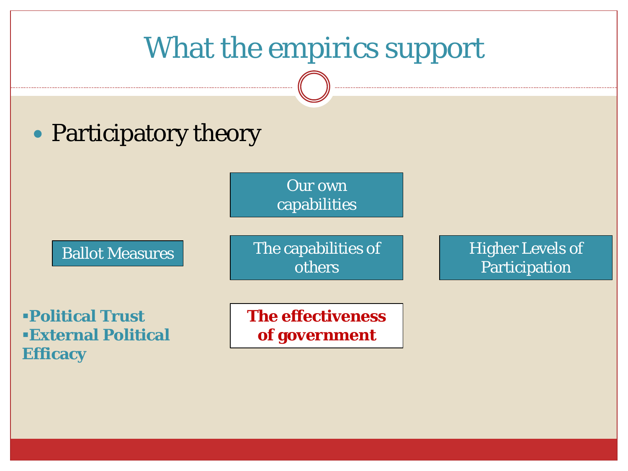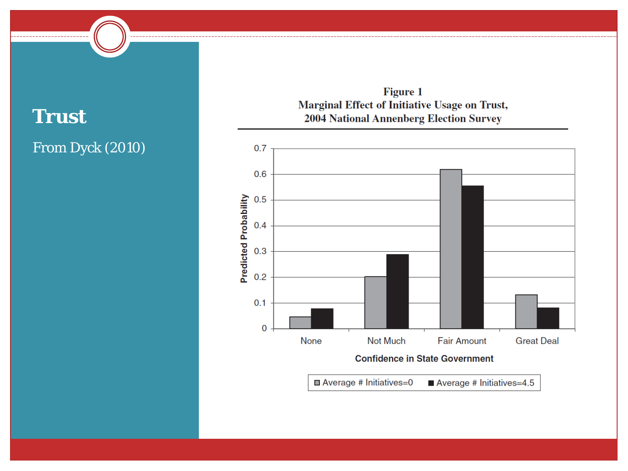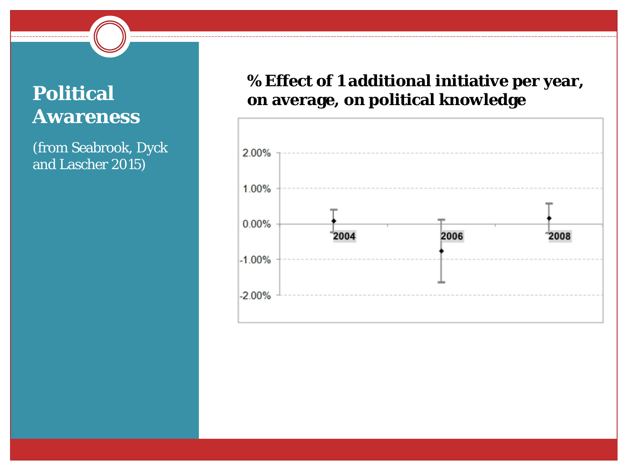## **Political Awareness**

(from Seabrook, Dyck and Lascher 2015)

#### **% Effect of 1 additional initiative per year, on average, on political knowledge**

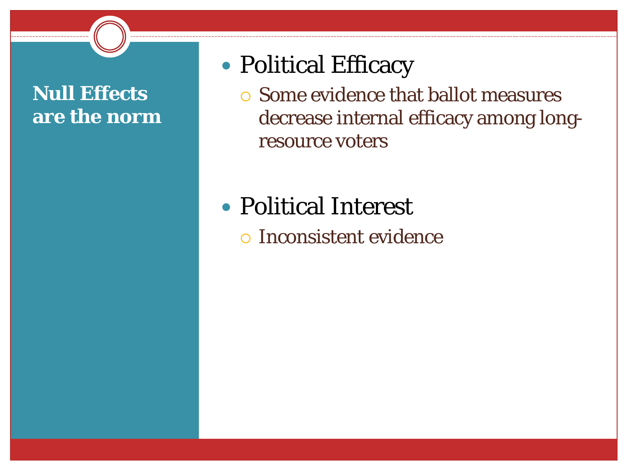### **Null Effects are the norm**

# Political Efficacy

- Some evidence that ballot measures decrease internal efficacy among longresource voters
- Political Interest
	- Inconsistent evidence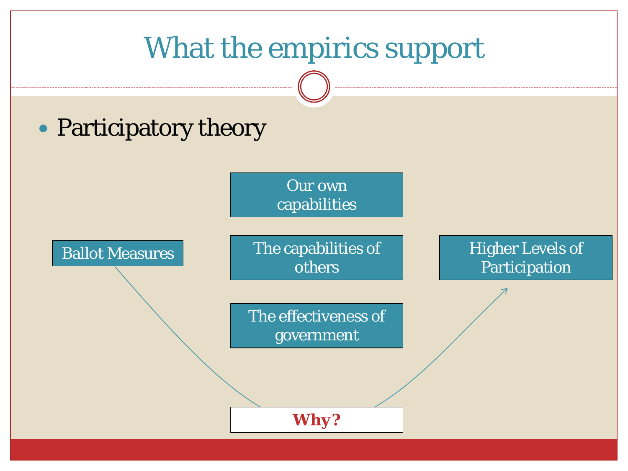# What the empirics support

# • Participatory theory

Ballot Measures

Our own capabilities

The capabilities of others

The effectiveness of government

Higher Levels of Participation

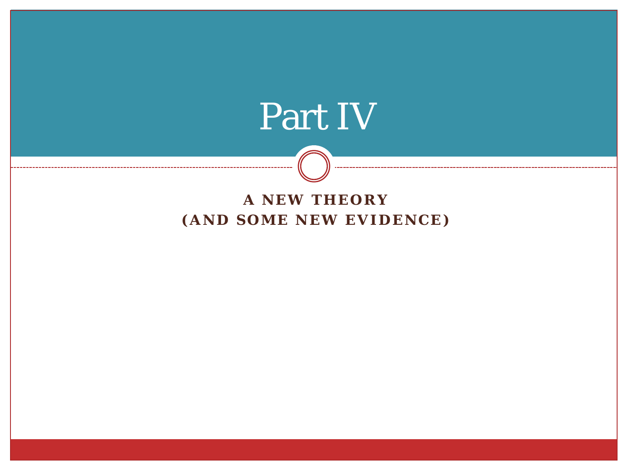# Part IV

#### **A NEW THEORY (AND SOME NEW EVIDENCE)**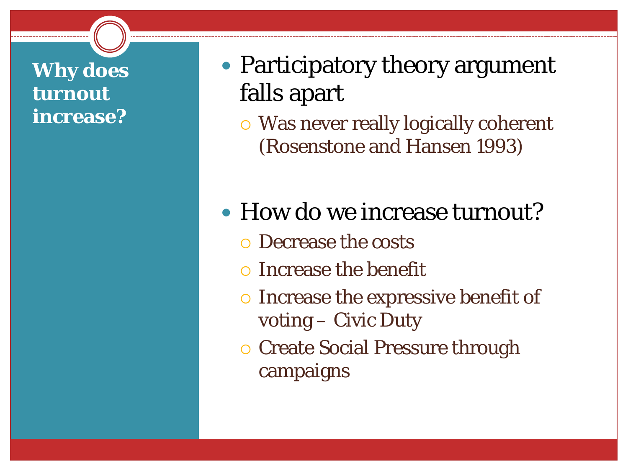### **Why does turnout increase?**

- Participatory theory argument falls apart
	- Was never really logically coherent (Rosenstone and Hansen 1993)
- How do we increase turnout?
	- Decrease the costs
	- Increase the benefit
	- o Increase the expressive benefit of voting – Civic Duty
	- **O** Create Social Pressure through campaigns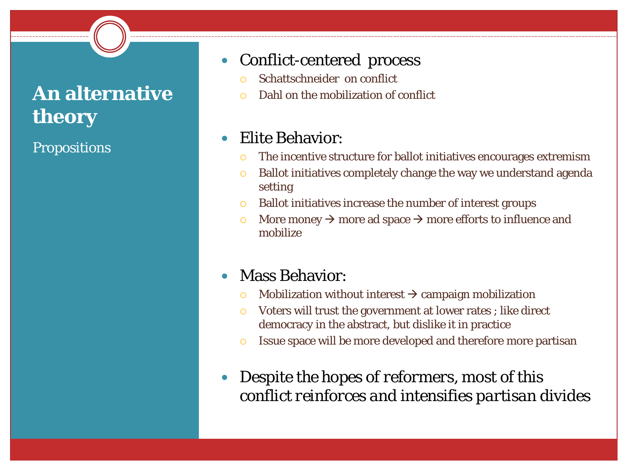## **An alternative theory**

**Propositions** 

#### • Conflict-centered process

- Schattschneider on conflict
- Dahl on the mobilization of conflict

#### Elite Behavior:

- The incentive structure for ballot initiatives encourages extremism
- Ballot initiatives completely change the way we understand agenda setting
- Ballot initiatives increase the number of interest groups
- $\circ$  More money  $\rightarrow$  more ad space  $\rightarrow$  more efforts to influence and mobilize

#### Mass Behavior:

- $\circ$  Mobilization without interest  $\rightarrow$  campaign mobilization
- Voters will trust the government at lower rates ; like direct democracy in the abstract, but dislike it in practice
- Issue space will be more developed and therefore more partisan
- *Despite the hopes of reformers, most of this conflict reinforces and intensifies partisan divides*